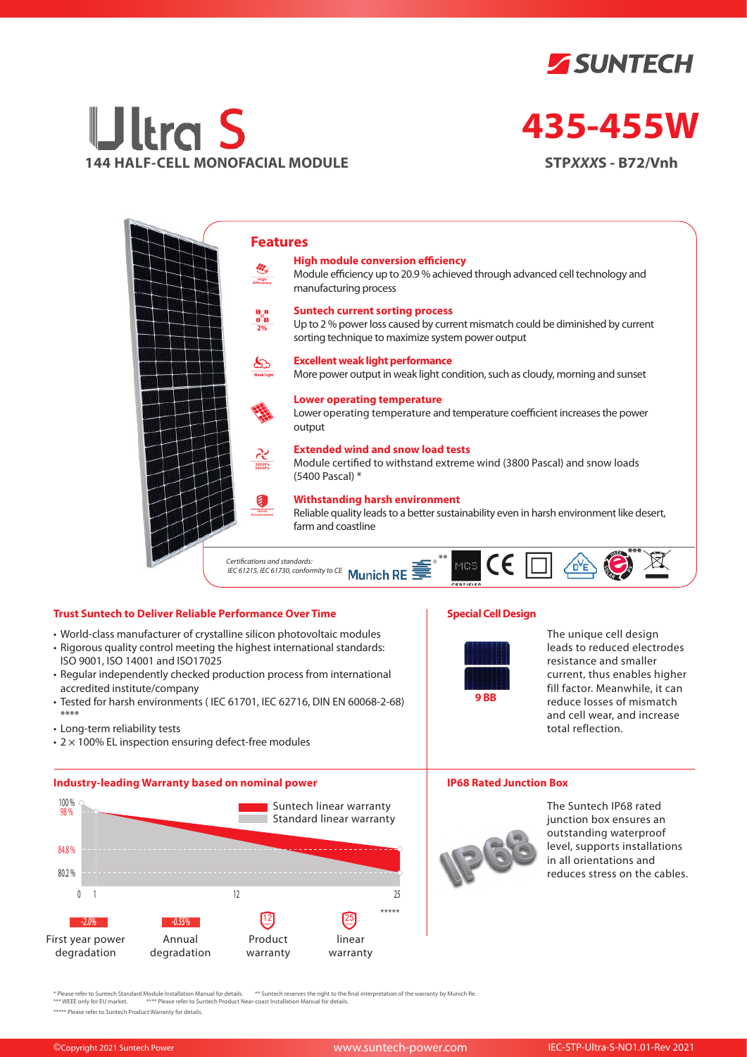



# **435-455W**

**STP***XXX***S - B72/Vnh**



### **Trust Suntech to Deliver Reliable Performance Over Time**

- World-class manufacturer of crystalline silicon photovoltaic modules
- Rigorous quality control meeting the highest international standards: ISO 9001, ISO 14001 and ISO17025
- Regular independently checked production process from international accredited institute/company
- Tested for harsh environments ( IEC 61701, IEC 62716, DIN EN 60068-2-68) \*\*\*\*
- Long-term reliability tests
- $\cdot$  2  $\times$  100% EL inspection ensuring defect-free modules

#### **Industry-leading Warranty based on nominal power**



## **Special Cell Design**



The unique cell design leads to reduced electrodes resistance and smaller current, thus enables higher fill factor. Meanwhile, it can reduce losses of mismatch and cell wear, and increase total reflection.

#### **IP68 Rated Junction Box**



The Suntech IP68 rated junction box ensures an outstanding waterproof level, supports installations in all orientations and reduces stress on the cables.

\* Please refer to Suntech Standard Module Installation Manual for details. \*\* Suntech reserves the right to the final interpretation of the warranty by Munich Re.<br>\*\*\* WEEE only for EU market. \*\*\*\* Please refer to Suntech P

\*\*\*\*\* Please refer to Suntech Product Warranty for details.